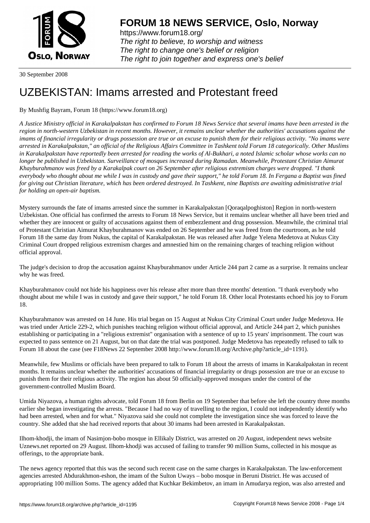

https://www.forum18.org/ The right to believe, to worship and witness The right to change one's belief or religion [The right to join together a](https://www.forum18.org/)nd express one's belief

30 September 2008

## [UZBEKISTAN:](https://www.forum18.org) Imams arrested and Protestant freed

## By Mushfig Bayram, Forum 18 (https://www.forum18.org)

*A Justice Ministry official in Karakalpakstan has confirmed to Forum 18 News Service that several imams have been arrested in the region in north-western Uzbekistan in recent months. However, it remains unclear whether the authorities' accusations against the imams of financial irregularity or drugs possession are true or an excuse to punish them for their religious activity. "No imams were arrested in Karakalpakstan," an official of the Religious Affairs Committee in Tashkent told Forum 18 categorically. Other Muslims in Karakalpakstan have reportedly been arrested for reading the works of Al-Bukhari, a noted Islamic scholar whose works can no longer be published in Uzbekistan. Surveillance of mosques increased during Ramadan. Meanwhile, Protestant Christian Aimurat Khayburahmanov was freed by a Karakalpak court on 26 September after religious extremism charges were dropped. "I thank everybody who thought about me while I was in custody and gave their support," he told Forum 18. In Fergana a Baptist was fined for giving out Christian literature, which has been ordered destroyed. In Tashkent, nine Baptists are awaiting administrative trial for holding an open-air baptism.*

Mystery surrounds the fate of imams arrested since the summer in Karakalpakstan [Qoraqalpoghiston] Region in north-western Uzbekistan. One official has confirmed the arrests to Forum 18 News Service, but it remains unclear whether all have been tried and whether they are innocent or guilty of accusations against them of embezzlement and drug possession. Meanwhile, the criminal trial of Protestant Christian Aimurat Khayburahmanov was ended on 26 September and he was freed from the courtroom, as he told Forum 18 the same day from Nukus, the capital of Karakalpakstan. He was released after Judge Yelena Medetova at Nukus City Criminal Court dropped religious extremism charges and amnestied him on the remaining charges of teaching religion without official approval.

The judge's decision to drop the accusation against Khayburahmanov under Article 244 part 2 came as a surprise. It remains unclear why he was freed.

Khayburahmanov could not hide his happiness over his release after more than three months' detention. "I thank everybody who thought about me while I was in custody and gave their support," he told Forum 18. Other local Protestants echoed his joy to Forum 18.

Khayburahmanov was arrested on 14 June. His trial began on 15 August at Nukus City Criminal Court under Judge Medetova. He was tried under Article 229-2, which punishes teaching religion without official approval, and Article 244 part 2, which punishes establishing or participating in a "religious extremist" organisation with a sentence of up to 15 years' imprisonment. The court was expected to pass sentence on 21 August, but on that date the trial was postponed. Judge Medetova has repeatedly refused to talk to Forum 18 about the case (see F18News 22 September 2008 http://www.forum18.org/Archive.php?article\_id=1191).

Meanwhile, few Muslims or officials have been prepared to talk to Forum 18 about the arrests of imams in Karakalpakstan in recent months. It remains unclear whether the authorities' accusations of financial irregularity or drugs possession are true or an excuse to punish them for their religious activity. The region has about 50 officially-approved mosques under the control of the government-controlled Muslim Board.

Umida Niyazova, a human rights advocate, told Forum 18 from Berlin on 19 September that before she left the country three months earlier she began investigating the arrests. "Because I had no way of travelling to the region, I could not independently identify who had been arrested, when and for what." Niyazova said she could not complete the investigation since she was forced to leave the country. She added that she had received reports that about 30 imams had been arrested in Karakalpakstan.

Ilhom-khodji, the imam of Nasimjon-bobo mosque in Ellikaly District, was arrested on 20 August, independent news website Uznews.net reported on 29 August. Ilhom-khodji was accused of failing to transfer 90 million Sums, collected in his mosque as offerings, to the appropriate bank.

The news agency reported that this was the second such recent case on the same charges in Karakalpakstan. The law-enforcement agencies arrested Abdurakhmon-eshon, the imam of the Sulton Uways – bobo mosque in Beruni District. He was accused of appropriating 100 million Soms. The agency added that Kuchkar Bekimbetov, an imam in Amudarya region, was also arrested and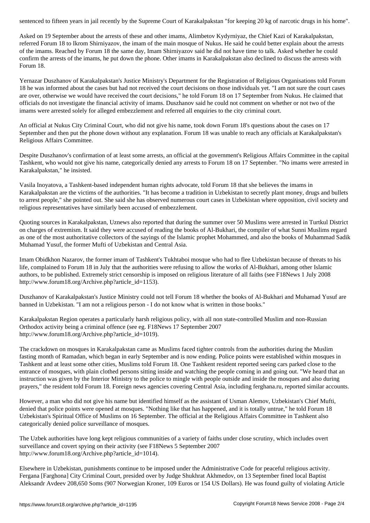Asked on 19 September about the arrests of these and other imams, Alimbetov Kydyrniyaz, the Chief Kazi of Karakalpakstan, referred Forum 18 to Ikrom Shirniyazov, the imam of the main mosque of Nukus. He said he could better explain about the arrests of the imams. Reached by Forum 18 the same day, Imam Shirniyazov said he did not have time to talk. Asked whether he could confirm the arrests of the imams, he put down the phone. Other imams in Karakalpakstan also declined to discuss the arrests with Forum 18.

Yernazar Duszhanov of Karakalpakstan's Justice Ministry's Department for the Registration of Religious Organisations told Forum 18 he was informed about the cases but had not received the court decisions on those individuals yet. "I am not sure the court cases are over, otherwise we would have received the court decisions," he told Forum 18 on 17 September from Nukus. He claimed that officials do not investigate the financial activity of imams. Duszhanov said he could not comment on whether or not two of the imams were arrested solely for alleged embezzlement and referred all enquiries to the city criminal court.

An official at Nukus City Criminal Court, who did not give his name, took down Forum 18's questions about the cases on 17 September and then put the phone down without any explanation. Forum 18 was unable to reach any officials at Karakalpakstan's Religious Affairs Committee.

Despite Duszhanov's confirmation of at least some arrests, an official at the government's Religious Affairs Committee in the capital Tashkent, who would not give his name, categorically denied any arrests to Forum 18 on 17 September. "No imams were arrested in Karakalpakstan," he insisted.

Vasila Inoyatova, a Tashkent-based independent human rights advocate, told Forum 18 that she believes the imams in Karakalpakstan are the victims of the authorities. "It has become a tradition in Uzbekistan to secretly plant money, drugs and bullets to arrest people," she pointed out. She said she has observed numerous court cases in Uzbekistan where opposition, civil society and religious representatives have similarly been accused of embezzlement.

Quoting sources in Karakalpakstan, Uznews also reported that during the summer over 50 Muslims were arrested in Turtkul District on charges of extremism. It said they were accused of reading the books of Al-Bukhari, the compiler of what Sunni Muslims regard as one of the most authoritative collectors of the sayings of the Islamic prophet Mohammed, and also the books of Muhammad Sadik Muhamad Yusuf, the former Mufti of Uzbekistan and Central Asia.

Imam Obidkhon Nazarov, the former imam of Tashkent's Tukhtaboi mosque who had to flee Uzbekistan because of threats to his life, complained to Forum 18 in July that the authorities were refusing to allow the works of Al-Bukhari, among other Islamic authors, to be published. Extremely strict censorship is imposed on religious literature of all faiths (see F18News 1 July 2008 http://www.forum18.org/Archive.php?article\_id=1153).

Duszhanov of Karakalpakstan's Justice Ministry could not tell Forum 18 whether the books of Al-Bukhari and Muhamad Yusuf are banned in Uzbekistan. "I am not a religious person - I do not know what is written in those books."

Karakalpakstan Region operates a particularly harsh religious policy, with all non state-controlled Muslim and non-Russian Orthodox activity being a criminal offence (see eg. F18News 17 September 2007 http://www.forum18.org/Archive.php?article\_id=1019).

The crackdown on mosques in Karakalpakstan came as Muslims faced tighter controls from the authorities during the Muslim fasting month of Ramadan, which began in early September and is now ending. Police points were established within mosques in Tashkent and at least some other cities, Muslims told Forum 18. One Tashkent resident reported seeing cars parked close to the entrance of mosques, with plain clothed persons sitting inside and watching the people coming in and going out. "We heard that an instruction was given by the Interior Ministry to the police to mingle with people outside and inside the mosques and also during prayers," the resident told Forum 18. Foreign news agencies covering Central Asia, including ferghana.ru, reported similar accounts.

However, a man who did not give his name but identified himself as the assistant of Usman Alemov, Uzbekistan's Chief Mufti, denied that police points were opened at mosques. "Nothing like that has happened, and it is totally untrue," he told Forum 18 Uzbekistan's Spiritual Office of Muslims on 16 September. The official at the Religious Affairs Committee in Tashkent also categorically denied police surveillance of mosques.

The Uzbek authorities have long kept religious communities of a variety of faiths under close scrutiny, which includes overt surveillance and covert spying on their activity (see F18News 5 September 2007 http://www.forum18.org/Archive.php?article\_id=1014).

Elsewhere in Uzbekistan, punishments continue to be imposed under the Administrative Code for peaceful religious activity. Fergana [Farghona] City Criminal Court, presided over by Judge Shukhrat Akhmedov, on 13 September fined local Baptist Aleksandr Avdeev 208,650 Soms (907 Norwegian Kroner, 109 Euros or 154 US Dollars). He was found guilty of violating Article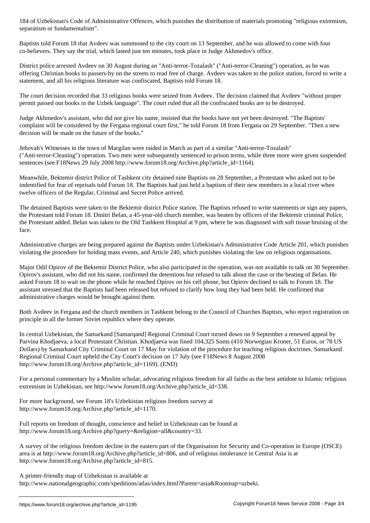Baptists told Forum 18 that Avdeev was summoned to the city court on 13 September, and he was allowed to come with four co-believers. They say the trial, which lasted just ten minutes, took place in Judge Akhmedov's office.

District police arrested Avdeev on 30 August during an "Anti-terror-Tozalash" ("Anti-terror-Cleaning") operation, as he was offering Christian books to passers-by on the streets to read free of charge. Avdeev was taken to the police station, forced to write a statement, and all his religious literature was confiscated, Baptists told Forum 18.

The court decision recorded that 33 religious books were seized from Avdeev. The decision claimed that Avdeev "without proper permit passed out books in the Uzbek language". The court ruled that all the confiscated books are to be destroyed.

Judge Akhmedov's assistant, who did not give his name, insisted that the books have not yet been destroyed. "The Baptists' complaint will be considered by the Fergana regional court first," he told Forum 18 from Fergana on 29 September. "Then a new decision will be made on the future of the books."

Jehovah's Witnesses in the town of Margilan were raided in March as part of a similar "Anti-terror-Tozalash" ("Anti-terror-Cleaning") operation. Two men were subsequently sentenced to prison terms, while three more were given suspended sentences (see F18News 29 July 2008 http://www.forum18.org/Archive.php?article\_id=1164).

Meanwhile, Bektemir district Police of Tashkent city detained nine Baptists on 28 September, a Protestant who asked not to be indentified for fear of reprisals told Forum 18. The Baptists had just held a baptism of their new members in a local river when twelve officers of the Regular, Criminal and Secret Police arrived.

The detained Baptists were taken to the Bektemir district Police station. The Baptists refused to write statements or sign any papers, the Protestant told Forum 18. Dmitri Belan, a 45-year-old church member, was beaten by officers of the Bektemir criminal Police, the Protestant added. Belan was taken to the Old Tashkent Hospital at 9 pm, where he was diagnosed with soft tissue bruising of the face.

Administrative charges are being prepared against the Baptists under Uzbekistan's Administrative Code Article 201, which punishes violating the procedure for holding mass events, and Article 240, which punishes violating the law on religious organisations.

Major Odil Opirov of the Bektemir District Police, who also participated in the operation, was not available to talk on 30 September. Opirov's assistant, who did not his name, confirmed the detentions but refused to talk about the case or the beating of Belan. He asked Forum 18 to wait on the phone while he reached Opirov on his cell phone, but Opirov declined to talk to Forum 18. The assistant stressed that the Baptists had been released but refused to clarify how long they had been held. He confirmed that administrative charges would be brought against them.

Both Avdeev in Fergana and the church members in Tashkent belong to the Council of Churches Baptists, who reject registration on principle in all the former Soviet republics where they operate.

In central Uzbekistan, the Samarkand [Samarqand] Regional Criminal Court turned down on 9 September a renewed appeal by Parvina Khodjaeva, a local Protestant Christian. Khodjaeva was fined 104,325 Soms (410 Norwegian Kroner, 51 Euros, or 78 US Dollars) by Samarkand City Criminal Court on 17 May for violation of the procedure for teaching religious doctrines. Samarkand Regional Criminal Court upheld the City Court's decision on 17 July (see F18News 8 August 2008 http://www.forum18.org/Archive.php?article\_id=1169). (END)

For a personal commentary by a Muslim scholar, advocating religious freedom for all faiths as the best antidote to Islamic religious extremism in Uzbekistan, see http://www.forum18.org/Archive.php?article\_id=338.

For more background, see Forum 18's Uzbekistan religious freedom survey at http://www.forum18.org/Archive.php?article\_id=1170.

Full reports on freedom of thought, conscience and belief in Uzbekistan can be found at http://www.forum18.org/Archive.php?query=&religion=all&country=33.

A survey of the religious freedom decline in the eastern part of the Organisation for Security and Co-operation in Europe (OSCE) area is at http://www.forum18.org/Archive.php?article\_id=806, and of religious intolerance in Central Asia is at http://www.forum18.org/Archive.php?article\_id=815.

A printer-friendly map of Uzbekistan is available at

http://www.nationalgeographic.com/xpeditions/atlas/index.html?Parent=asia&Rootmap=uzbeki.

separatism or fundamentalism".